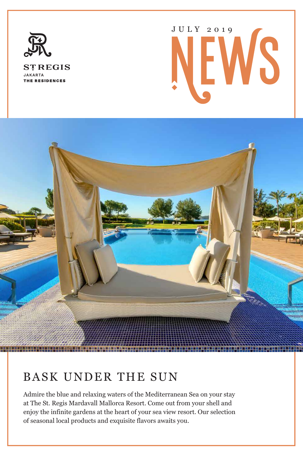

**STREGIS JAKARTA** THE RESIDENCES

# JULY 2019



# BASK UNDER THE SUN

Admire the blue and relaxing waters of the Mediterranean Sea on your stay at The St. Regis Mardavall Mallorca Resort. Come out from your shell and enjoy the infinite gardens at the heart of your sea view resort. Our selection of seasonal local products and exquisite flavors awaits you.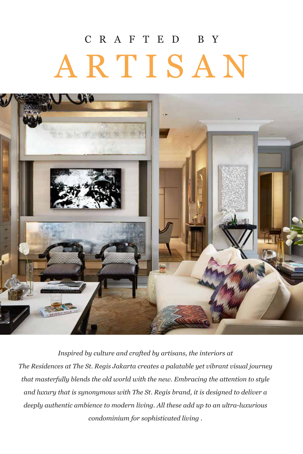# CRAFTED BY ARTISAN



*Inspired by culture and crafted by artisans, the interiors at The Residences at The St. Regis Jakarta creates a palatable yet vibrant visual journey that masterfully blends the old world with the new. Embracing the attention to style and luxury that is synonymous with The St. Regis brand, it is designed to deliver a deeply authentic ambience to modern living. All these add up to an ultra-luxurious condominium for sophisticated living .*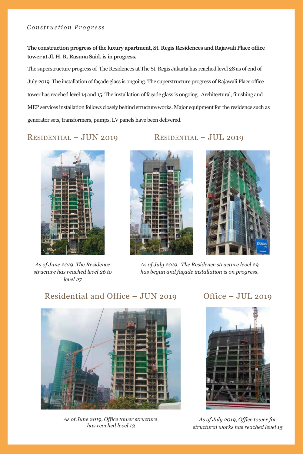### *Con s t ruc tion Progres s*

**The construction progress of the luxury apartment, St. Regis Residences and Rajawali Place office tower at Jl. H. R. Rasuna Said, is in progress.** 

The superstructure progress of The Residences at The St. Regis Jakarta has reached level 28 as of end of July 2019. The installation of façade glass is ongoing. The superstructure progress of Rajawali Place office tower has reached level 14 and 15. The installation of façade glass is ongoing. Architectural, finishing and MEP services installation follows closely behind structure works. Major equipment for the residence such as generator sets, transformers, pumps, LV panels have been delivered.

RESIDENTIAL – JUN 2019 RESIDENTIAL – JUL 2019



*As of June 2019, The Residence structure has reached level 26 to level 27*





*As of July 2019, The Residence structure level 29 has begun and façade installation is on progress.*

### Residential and Office – JUN 2019

### Office – JUL 2019



*As of June 2019, Office tower structure has reached level 13*



*As of July 2019, Office tower for structural works has reached level 15*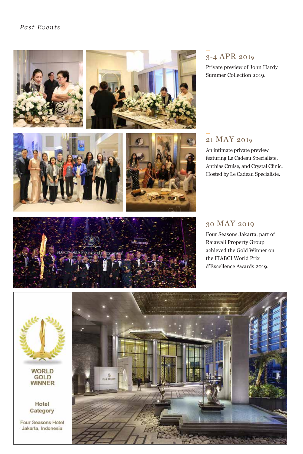







### 3-4 APR 2019

Private preview of John Hardy Summer Collection 2019.

### 21 MAY 2019

An intimate private preview featuring Le Cadeau Specialiste, Anthias Cruise, and Crystal Clinic. Hosted by Le Cadeau Specialiste.



### 30 MAY 2019

Four Seasons Jakarta, part of Rajawali Property Group achieved the Gold Winner on the FIABCI World Prix d'Excellence Awards 2019.



**WORLD GOLD WINNER** 

Hotel Category

Four Seasons Hotel Jakarta, Indonesia

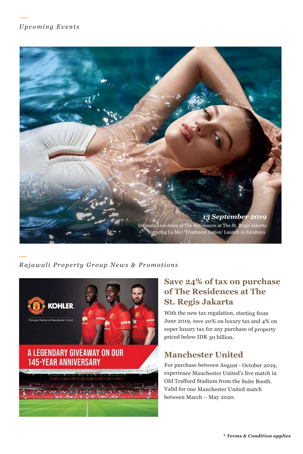### *Upc oming Event s*



### *R ajawal i Pro perty Gr ou p News & Promotions*



### **Save 24% of tax on purchase of The Residences at The St. Regis Jakarta**

With the new tax regulation, starting from June 2019, save 20% on luxury tax and 4% on super luxury tax for any purchase of property priced below IDR 30 billion.

### **Manchester United**

For purchase between August - October 2019, experience Manchester United's live match in Old Trafford Stadium from the Suite Booth. Valid for one Manchester United match between March – May 2020.